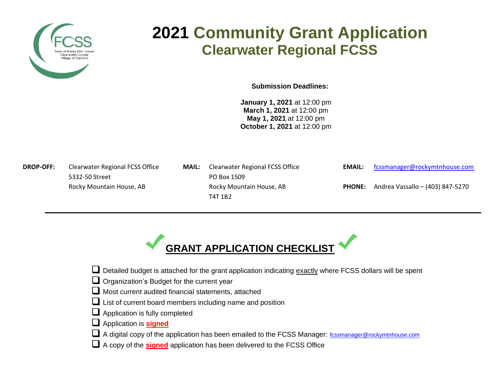

# **2021 Community Grant Application Clearwater Regional FCSS**

**Submission Deadlines:**

**January 1, 2021** at 12:00 pm **March 1, 2021** at 12:00 pm **May 1, 2021** at 12:00 pm **October 1, 2021** at 12:00 pm

5332-50 StreetPO Box 1509

- **DROP-OFF:** Clearwater Regional FCSS Office **MAIL:** Clearwater Regional FCSS Office **EMAIL:** [fcssmanager@rockymtnhouse.com](mailto:fcssmanager@rockymtnhouse.com) Rocky Mountain House, AB Rocky Mountain House, AB **PHONE:** Andrea Vassallo – (403) 847-5270 T4T 1B2
	-
	-



- $\Box$  Detailed budget is attached for the grant application indicating  $\frac{exactly}{exactly}$  where FCSS dollars will be spent
- $\Box$  Organization's Budget for the current year
- $\Box$  Most current audited financial statements, attached
- $\Box$  List of current board members including name and position
- $\Box$  Application is fully completed
- Application is **signed**
- A digital copy of the application has been emailed to the FCSS Manager: for the standager@rockymtnhouse.com
- A copy of the **signed** application has been delivered to the FCSS Office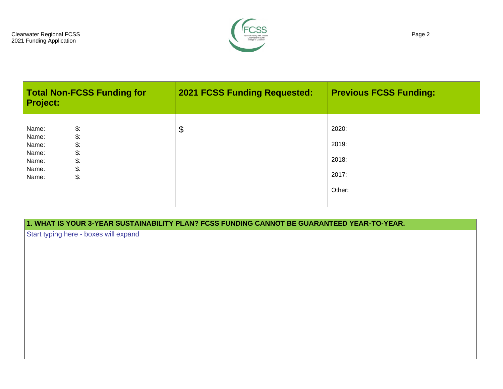

| <b>Total Non-FCSS Funding for</b><br><b>Project:</b>                                                                                                       | <b>2021 FCSS Funding Requested:</b> | <b>Previous FCSS Funding:</b>              |
|------------------------------------------------------------------------------------------------------------------------------------------------------------|-------------------------------------|--------------------------------------------|
| $\mathcal{L}$<br>Name:<br>\$.<br>Name:<br>\$:<br>Name:<br>\$.<br>Name:<br>$\mathcal{L}$ :<br>Name:<br>$\mathcal{L}$ :<br>Name:<br>$\mathsf{\$}$ :<br>Name: | \$                                  | 2020:<br>2019:<br>2018:<br>2017:<br>Other: |

**1. WHAT IS YOUR 3-YEAR SUSTAINABILITY PLAN? FCSS FUNDING CANNOT BE GUARANTEED YEAR-TO-YEAR.**

Start typing here - boxes will expand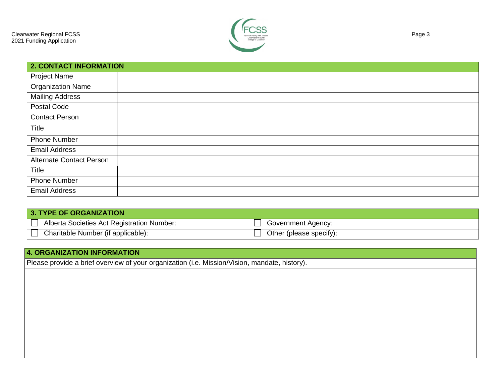

| <b>2. CONTACT INFORMATION</b>   |  |
|---------------------------------|--|
| <b>Project Name</b>             |  |
| Organization Name               |  |
| <b>Mailing Address</b>          |  |
| Postal Code                     |  |
| <b>Contact Person</b>           |  |
| Title                           |  |
| <b>Phone Number</b>             |  |
| <b>Email Address</b>            |  |
| <b>Alternate Contact Person</b> |  |
| Title                           |  |
| <b>Phone Number</b>             |  |
| <b>Email Address</b>            |  |

| 3. TYPE OF ORGANIZATION                    |                         |
|--------------------------------------------|-------------------------|
| Alberta Societies Act Registration Number: | Government Agency:      |
| Charitable Number (if applicable):         | Other (please specify): |

### **4. ORGANIZATION INFORMATION**

Please provide a brief overview of your organization (i.e. Mission/Vision, mandate, history).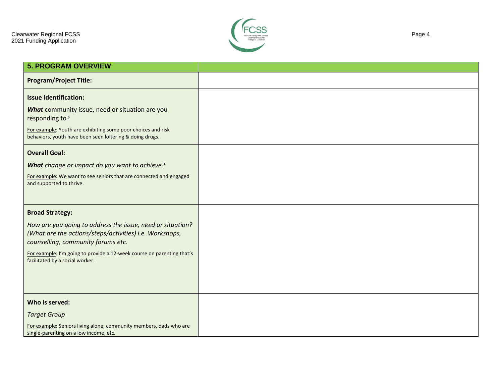

| <b>5. PROGRAM OVERVIEW</b>                                                                                               |  |
|--------------------------------------------------------------------------------------------------------------------------|--|
|                                                                                                                          |  |
| <b>Program/Project Title:</b>                                                                                            |  |
| <b>Issue Identification:</b>                                                                                             |  |
| What community issue, need or situation are you<br>responding to?                                                        |  |
| For example: Youth are exhibiting some poor choices and risk<br>behaviors, youth have been seen loitering & doing drugs. |  |
| <b>Overall Goal:</b>                                                                                                     |  |
| What change or impact do you want to achieve?                                                                            |  |
| For example: We want to see seniors that are connected and engaged<br>and supported to thrive.                           |  |
| <b>Broad Strategy:</b>                                                                                                   |  |
| How are you going to address the issue, need or situation?                                                               |  |
| (What are the actions/steps/activities) i.e. Workshops,<br>counselling, community forums etc.                            |  |
| For example: I'm going to provide a 12-week course on parenting that's<br>facilitated by a social worker.                |  |
|                                                                                                                          |  |
|                                                                                                                          |  |
|                                                                                                                          |  |
| Who is served:                                                                                                           |  |
| <b>Target Group</b>                                                                                                      |  |
| For example: Seniors living alone, community members, dads who are<br>single-parenting on a low income, etc.             |  |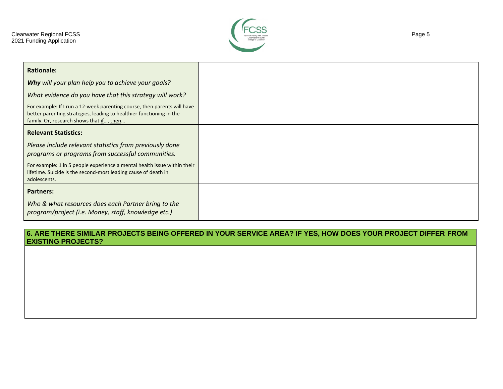

| <b>Rationale:</b>                                                                                                                                                                            |
|----------------------------------------------------------------------------------------------------------------------------------------------------------------------------------------------|
| Why will your plan help you to achieve your goals?                                                                                                                                           |
| What evidence do you have that this strategy will work?                                                                                                                                      |
| For example: If I run a 12-week parenting course, then parents will have<br>better parenting strategies, leading to healthier functioning in the<br>family. Or, research shows that if, then |
| <b>Relevant Statistics:</b>                                                                                                                                                                  |
| Please include relevant statistics from previously done<br>programs or programs from successful communities.                                                                                 |
| For example: 1 in 5 people experience a mental health issue within their<br>lifetime. Suicide is the second-most leading cause of death in<br>adolescents.                                   |
| <b>Partners:</b>                                                                                                                                                                             |
| Who & what resources does each Partner bring to the<br>program/project (i.e. Money, staff, knowledge etc.)                                                                                   |

#### **6. ARE THERE SIMILAR PROJECTS BEING OFFERED IN YOUR SERVICE AREA? IF YES, HOW DOES YOUR PROJECT DIFFER FROM EXISTING PROJECTS?**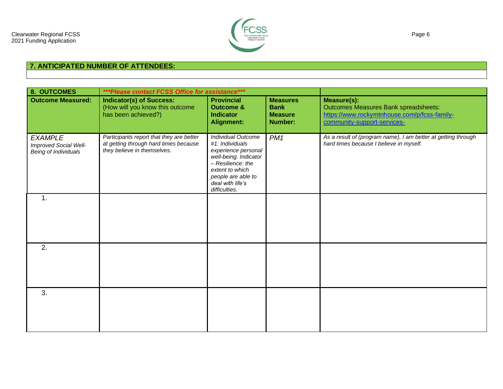

## **7. ANTICIPATED NUMBER OF ATTENDEES:**

| 8. OUTCOMES                                                     | ***Please contact FCSS Office for assistance***                                                                  |                                                                                                                                                                                          |                                                             |                                                                                                                                           |
|-----------------------------------------------------------------|------------------------------------------------------------------------------------------------------------------|------------------------------------------------------------------------------------------------------------------------------------------------------------------------------------------|-------------------------------------------------------------|-------------------------------------------------------------------------------------------------------------------------------------------|
| <b>Outcome Measured:</b>                                        | <b>Indicator(s) of Success:</b><br>(How will you know this outcome<br>has been achieved?)                        | <b>Provincial</b><br><b>Outcome &amp;</b><br><b>Indicator</b><br><b>Alignment:</b>                                                                                                       | <b>Measures</b><br><b>Bank</b><br><b>Measure</b><br>Number: | Measure(s):<br><b>Outcomes Measures Bank spreadsheets:</b><br>https://www.rockymtnhouse.com/p/fcss-family-<br>community-support-services- |
| <b>EXAMPLE</b><br>Improved Social Well-<br>Being of Individuals | Participants report that they are better<br>at getting through hard times because<br>they believe in themselves. | Individual Outcome<br>#1: Individuals<br>experience personal<br>well-being. Indicator<br>- Resilience: the<br>extent to which<br>people are able to<br>deal with life's<br>difficulties. | PM <sub>1</sub>                                             | As a result of (program name), I am better at getting through<br>hard times because I believe in myself.                                  |
| $\mathbf 1$ .                                                   |                                                                                                                  |                                                                                                                                                                                          |                                                             |                                                                                                                                           |
| 2.                                                              |                                                                                                                  |                                                                                                                                                                                          |                                                             |                                                                                                                                           |
| 3.                                                              |                                                                                                                  |                                                                                                                                                                                          |                                                             |                                                                                                                                           |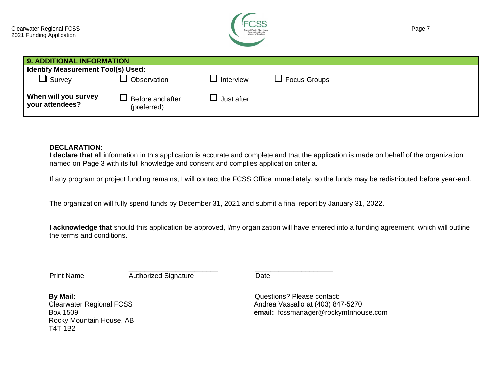

| 9. ADDITIONAL INFORMATION               |                                                |                          |                     |
|-----------------------------------------|------------------------------------------------|--------------------------|---------------------|
| Identify Measurement Tool(s) Used:      |                                                |                          |                     |
| $\Box$ Survey                           | Observation                                    | $\blacksquare$ Interview | $\Box$ Focus Groups |
| When will you survey<br>vour attendees? | $\blacksquare$ Before and after<br>(preferred) | Just after               |                     |

#### **DECLARATION:**

**I declare that** all information in this application is accurate and complete and that the application is made on behalf of the organization named on Page 3 with its full knowledge and consent and complies application criteria.

If any program or project funding remains, I will contact the FCSS Office immediately, so the funds may be redistributed before year-end.

The organization will fully spend funds by December 31, 2021 and submit a final report by January 31, 2022.

\_\_\_\_\_\_\_\_\_\_\_\_\_\_\_\_\_\_\_\_\_\_\_ \_\_\_\_\_\_\_\_\_\_\_\_\_\_\_\_\_\_\_\_

**I acknowledge that** should this application be approved, I/my organization will have entered into a funding agreement, which will outline the terms and conditions.

Print Name **Authorized Signature** Date

**By Mail:**  Clearwater Regional FCSS Box 1509 Rocky Mountain House, AB T4T 1B2

Questions? Please contact: Andrea Vassallo at (403) 847-5270 **email:** fcssmanager@rockymtnhouse.com